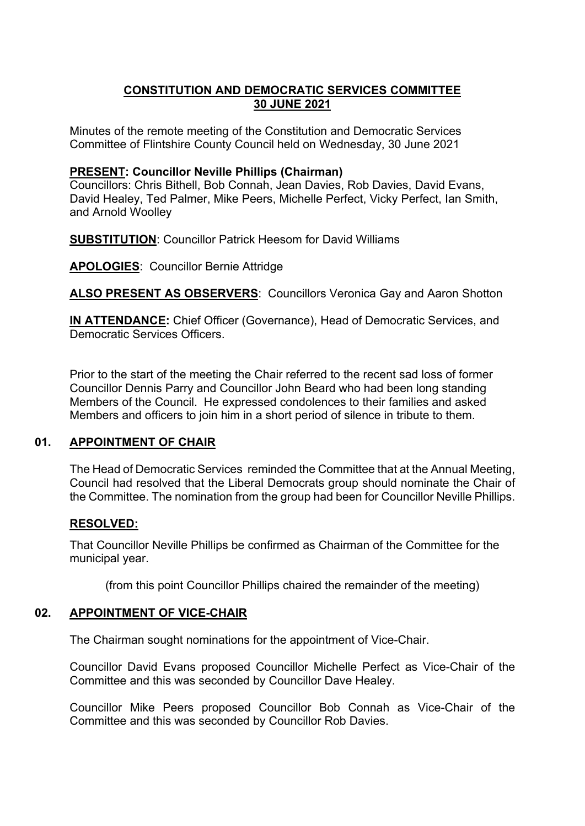# **CONSTITUTION AND DEMOCRATIC SERVICES COMMITTEE 30 JUNE 2021**

Minutes of the remote meeting of the Constitution and Democratic Services Committee of Flintshire County Council held on Wednesday, 30 June 2021

#### **PRESENT: Councillor Neville Phillips (Chairman)**

Councillors: Chris Bithell, Bob Connah, Jean Davies, Rob Davies, David Evans, David Healey, Ted Palmer, Mike Peers, Michelle Perfect, Vicky Perfect, Ian Smith, and Arnold Woolley

**SUBSTITUTION**: Councillor Patrick Heesom for David Williams

**APOLOGIES**: Councillor Bernie Attridge

**ALSO PRESENT AS OBSERVERS**: Councillors Veronica Gay and Aaron Shotton

**IN ATTENDANCE:** Chief Officer (Governance), Head of Democratic Services, and Democratic Services Officers.

Prior to the start of the meeting the Chair referred to the recent sad loss of former Councillor Dennis Parry and Councillor John Beard who had been long standing Members of the Council. He expressed condolences to their families and asked Members and officers to join him in a short period of silence in tribute to them.

## **01. APPOINTMENT OF CHAIR**

The Head of Democratic Services reminded the Committee that at the Annual Meeting, Council had resolved that the Liberal Democrats group should nominate the Chair of the Committee. The nomination from the group had been for Councillor Neville Phillips.

## **RESOLVED:**

That Councillor Neville Phillips be confirmed as Chairman of the Committee for the municipal year.

(from this point Councillor Phillips chaired the remainder of the meeting)

## **02. APPOINTMENT OF VICE-CHAIR**

The Chairman sought nominations for the appointment of Vice-Chair.

Councillor David Evans proposed Councillor Michelle Perfect as Vice-Chair of the Committee and this was seconded by Councillor Dave Healey.

Councillor Mike Peers proposed Councillor Bob Connah as Vice-Chair of the Committee and this was seconded by Councillor Rob Davies.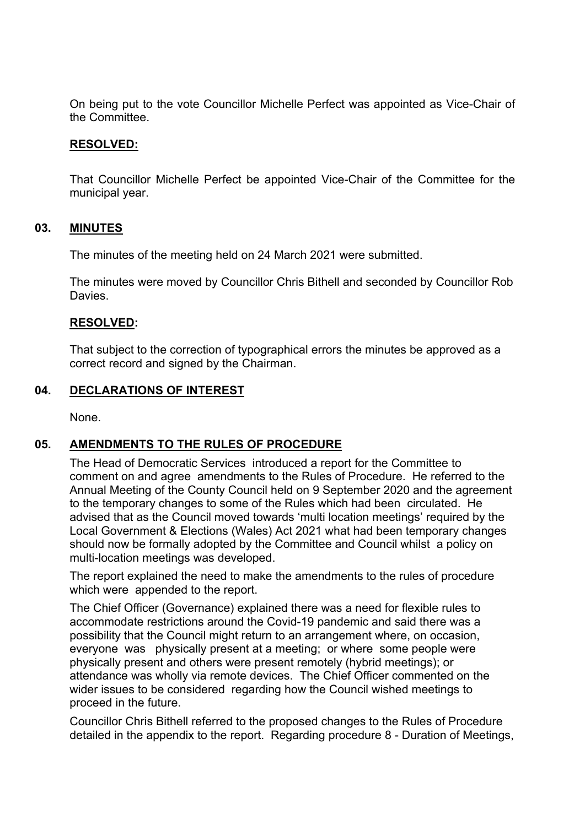On being put to the vote Councillor Michelle Perfect was appointed as Vice-Chair of the Committee.

#### **RESOLVED:**

That Councillor Michelle Perfect be appointed Vice-Chair of the Committee for the municipal year.

#### **03. MINUTES**

The minutes of the meeting held on 24 March 2021 were submitted.

The minutes were moved by Councillor Chris Bithell and seconded by Councillor Rob Davies.

#### **RESOLVED:**

That subject to the correction of typographical errors the minutes be approved as a correct record and signed by the Chairman.

## **04. DECLARATIONS OF INTEREST**

None.

## **05. AMENDMENTS TO THE RULES OF PROCEDURE**

The Head of Democratic Services introduced a report for the Committee to comment on and agree amendments to the Rules of Procedure. He referred to the Annual Meeting of the County Council held on 9 September 2020 and the agreement to the temporary changes to some of the Rules which had been circulated. He advised that as the Council moved towards 'multi location meetings' required by the Local Government & Elections (Wales) Act 2021 what had been temporary changes should now be formally adopted by the Committee and Council whilst a policy on multi-location meetings was developed.

The report explained the need to make the amendments to the rules of procedure which were appended to the report.

The Chief Officer (Governance) explained there was a need for flexible rules to accommodate restrictions around the Covid-19 pandemic and said there was a possibility that the Council might return to an arrangement where, on occasion, everyone was physically present at a meeting; or where some people were physically present and others were present remotely (hybrid meetings); or attendance was wholly via remote devices. The Chief Officer commented on the wider issues to be considered regarding how the Council wished meetings to proceed in the future.

Councillor Chris Bithell referred to the proposed changes to the Rules of Procedure detailed in the appendix to the report. Regarding procedure 8 - Duration of Meetings,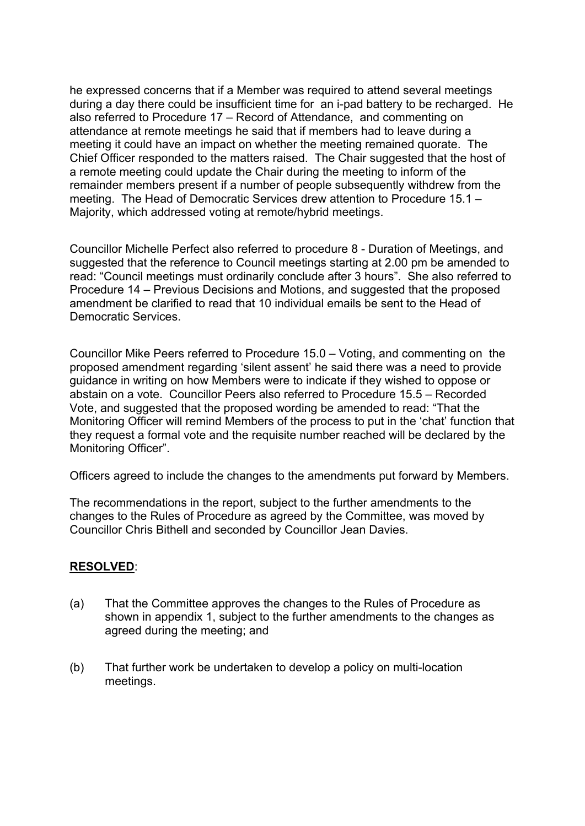he expressed concerns that if a Member was required to attend several meetings during a day there could be insufficient time for an i-pad battery to be recharged. He also referred to Procedure 17 – Record of Attendance, and commenting on attendance at remote meetings he said that if members had to leave during a meeting it could have an impact on whether the meeting remained quorate. The Chief Officer responded to the matters raised. The Chair suggested that the host of a remote meeting could update the Chair during the meeting to inform of the remainder members present if a number of people subsequently withdrew from the meeting. The Head of Democratic Services drew attention to Procedure 15.1 – Majority, which addressed voting at remote/hybrid meetings.

Councillor Michelle Perfect also referred to procedure 8 - Duration of Meetings, and suggested that the reference to Council meetings starting at 2.00 pm be amended to read: "Council meetings must ordinarily conclude after 3 hours". She also referred to Procedure 14 – Previous Decisions and Motions, and suggested that the proposed amendment be clarified to read that 10 individual emails be sent to the Head of Democratic Services.

Councillor Mike Peers referred to Procedure 15.0 – Voting, and commenting on the proposed amendment regarding 'silent assent' he said there was a need to provide guidance in writing on how Members were to indicate if they wished to oppose or abstain on a vote. Councillor Peers also referred to Procedure 15.5 – Recorded Vote, and suggested that the proposed wording be amended to read: "That the Monitoring Officer will remind Members of the process to put in the 'chat' function that they request a formal vote and the requisite number reached will be declared by the Monitoring Officer".

Officers agreed to include the changes to the amendments put forward by Members.

The recommendations in the report, subject to the further amendments to the changes to the Rules of Procedure as agreed by the Committee, was moved by Councillor Chris Bithell and seconded by Councillor Jean Davies.

## **RESOLVED**:

- (a) That the Committee approves the changes to the Rules of Procedure as shown in appendix 1, subject to the further amendments to the changes as agreed during the meeting; and
- (b) That further work be undertaken to develop a policy on multi-location meetings.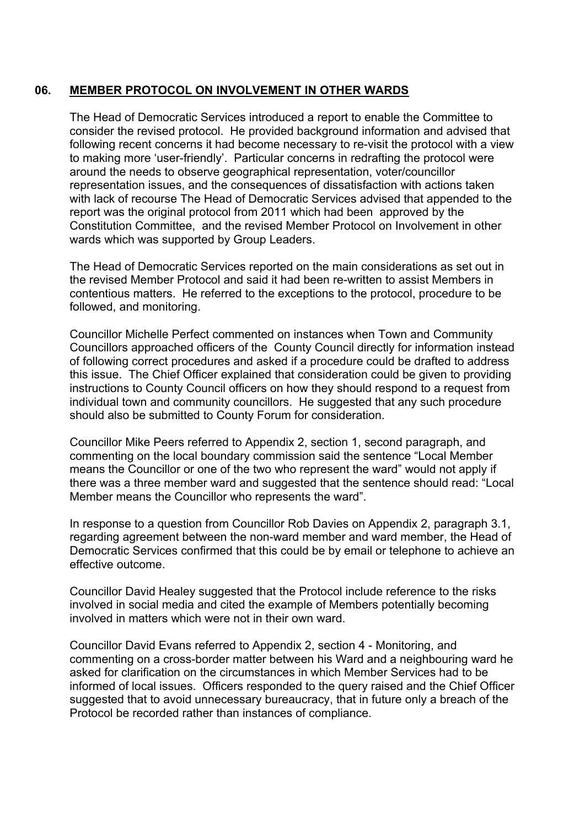# **06. MEMBER PROTOCOL ON INVOLVEMENT IN OTHER WARDS**

The Head of Democratic Services introduced a report to enable the Committee to consider the revised protocol. He provided background information and advised that following recent concerns it had become necessary to re-visit the protocol with a view to making more 'user-friendly'. Particular concerns in redrafting the protocol were around the needs to observe geographical representation, voter/councillor representation issues, and the consequences of dissatisfaction with actions taken with lack of recourse The Head of Democratic Services advised that appended to the report was the original protocol from 2011 which had been approved by the Constitution Committee, and the revised Member Protocol on Involvement in other wards which was supported by Group Leaders.

The Head of Democratic Services reported on the main considerations as set out in the revised Member Protocol and said it had been re-written to assist Members in contentious matters. He referred to the exceptions to the protocol, procedure to be followed, and monitoring.

Councillor Michelle Perfect commented on instances when Town and Community Councillors approached officers of the County Council directly for information instead of following correct procedures and asked if a procedure could be drafted to address this issue. The Chief Officer explained that consideration could be given to providing instructions to County Council officers on how they should respond to a request from individual town and community councillors. He suggested that any such procedure should also be submitted to County Forum for consideration.

Councillor Mike Peers referred to Appendix 2, section 1, second paragraph, and commenting on the local boundary commission said the sentence "Local Member means the Councillor or one of the two who represent the ward" would not apply if there was a three member ward and suggested that the sentence should read: "Local Member means the Councillor who represents the ward".

In response to a question from Councillor Rob Davies on Appendix 2, paragraph 3.1, regarding agreement between the non-ward member and ward member, the Head of Democratic Services confirmed that this could be by email or telephone to achieve an effective outcome.

Councillor David Healey suggested that the Protocol include reference to the risks involved in social media and cited the example of Members potentially becoming involved in matters which were not in their own ward.

Councillor David Evans referred to Appendix 2, section 4 - Monitoring, and commenting on a cross-border matter between his Ward and a neighbouring ward he asked for clarification on the circumstances in which Member Services had to be informed of local issues. Officers responded to the query raised and the Chief Officer suggested that to avoid unnecessary bureaucracy, that in future only a breach of the Protocol be recorded rather than instances of compliance.